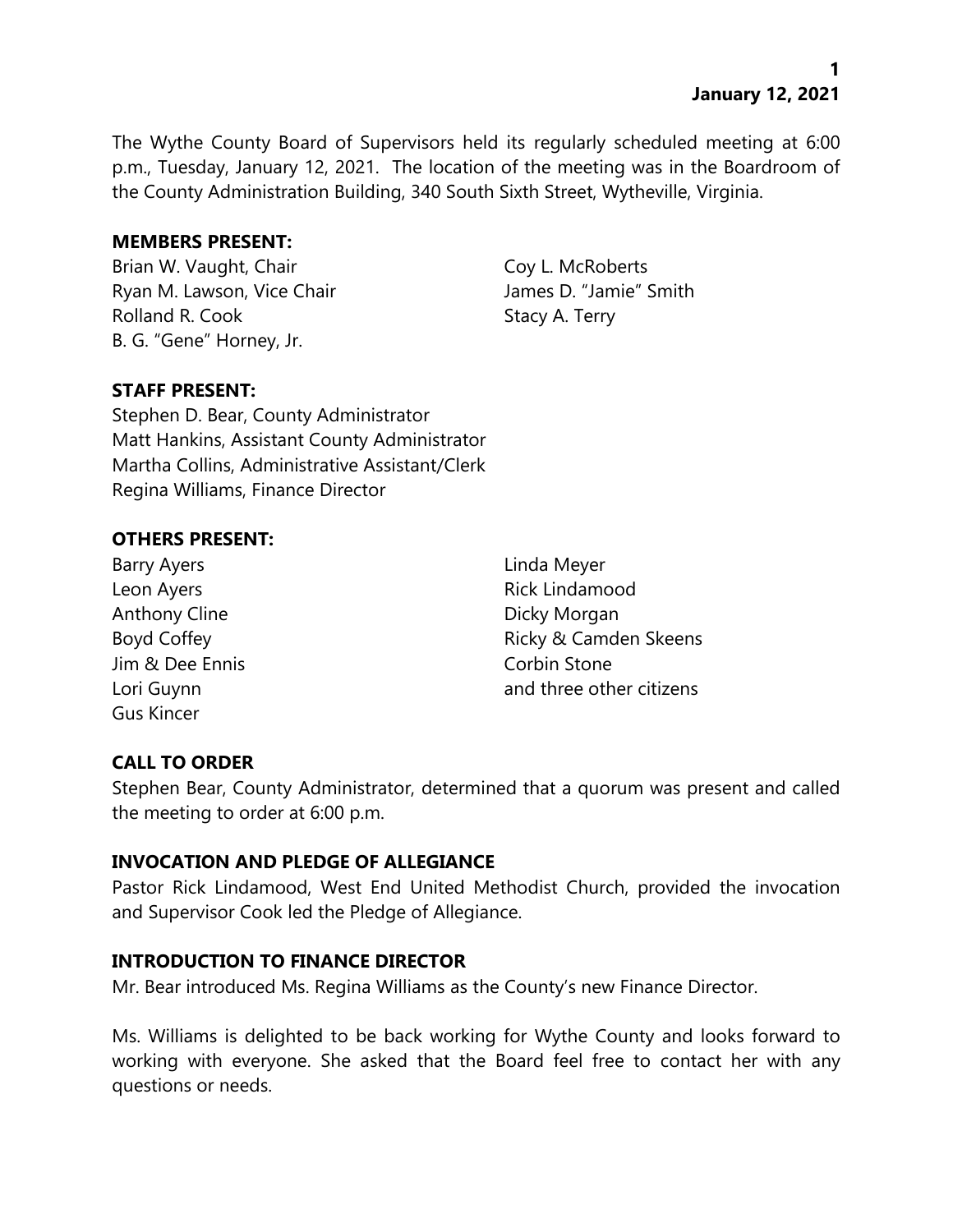**1 January 12, 2021**

The Wythe County Board of Supervisors held its regularly scheduled meeting at 6:00 p.m., Tuesday, January 12, 2021. The location of the meeting was in the Boardroom of the County Administration Building, 340 South Sixth Street, Wytheville, Virginia.

#### **MEMBERS PRESENT:**

Brian W. Vaught, Chair Coy L. McRoberts Ryan M. Lawson, Vice Chair **James D. "Jamie"** Smith Rolland R. Cook Stacy A. Terry B. G. "Gene" Horney, Jr.

# **STAFF PRESENT:**

Stephen D. Bear, County Administrator Matt Hankins, Assistant County Administrator Martha Collins, Administrative Assistant/Clerk Regina Williams, Finance Director

#### **OTHERS PRESENT:**

Barry Ayers **Example 2018** 2019 12:30 Linda Meyer Leon Ayers **Rick Lindamood** Anthony Cline **Dicky Morgan** Jim & Dee Ennis Corbin Stone Gus Kincer

Boyd Coffey **Ricky & Camden Skeens** Lori Guynn and three other citizens

#### **CALL TO ORDER**

Stephen Bear, County Administrator, determined that a quorum was present and called the meeting to order at 6:00 p.m.

#### **INVOCATION AND PLEDGE OF ALLEGIANCE**

Pastor Rick Lindamood, West End United Methodist Church, provided the invocation and Supervisor Cook led the Pledge of Allegiance.

#### **INTRODUCTION TO FINANCE DIRECTOR**

Mr. Bear introduced Ms. Regina Williams as the County's new Finance Director.

Ms. Williams is delighted to be back working for Wythe County and looks forward to working with everyone. She asked that the Board feel free to contact her with any questions or needs.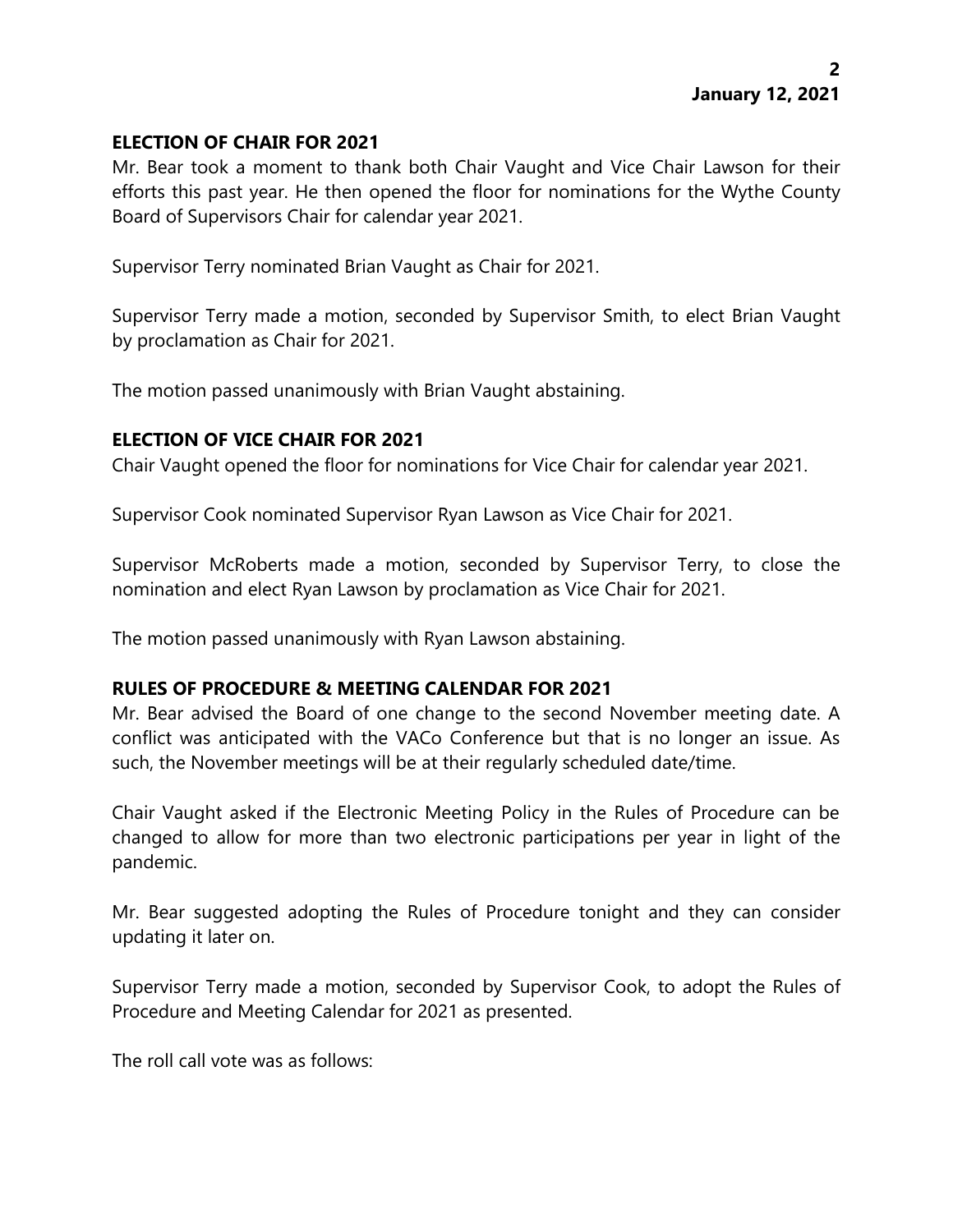## **ELECTION OF CHAIR FOR 2021**

Mr. Bear took a moment to thank both Chair Vaught and Vice Chair Lawson for their efforts this past year. He then opened the floor for nominations for the Wythe County Board of Supervisors Chair for calendar year 2021.

Supervisor Terry nominated Brian Vaught as Chair for 2021.

Supervisor Terry made a motion, seconded by Supervisor Smith, to elect Brian Vaught by proclamation as Chair for 2021.

The motion passed unanimously with Brian Vaught abstaining.

# **ELECTION OF VICE CHAIR FOR 2021**

Chair Vaught opened the floor for nominations for Vice Chair for calendar year 2021.

Supervisor Cook nominated Supervisor Ryan Lawson as Vice Chair for 2021.

Supervisor McRoberts made a motion, seconded by Supervisor Terry, to close the nomination and elect Ryan Lawson by proclamation as Vice Chair for 2021.

The motion passed unanimously with Ryan Lawson abstaining.

# **RULES OF PROCEDURE & MEETING CALENDAR FOR 2021**

Mr. Bear advised the Board of one change to the second November meeting date. A conflict was anticipated with the VACo Conference but that is no longer an issue. As such, the November meetings will be at their regularly scheduled date/time.

Chair Vaught asked if the Electronic Meeting Policy in the Rules of Procedure can be changed to allow for more than two electronic participations per year in light of the pandemic.

Mr. Bear suggested adopting the Rules of Procedure tonight and they can consider updating it later on.

Supervisor Terry made a motion, seconded by Supervisor Cook, to adopt the Rules of Procedure and Meeting Calendar for 2021 as presented.

The roll call vote was as follows: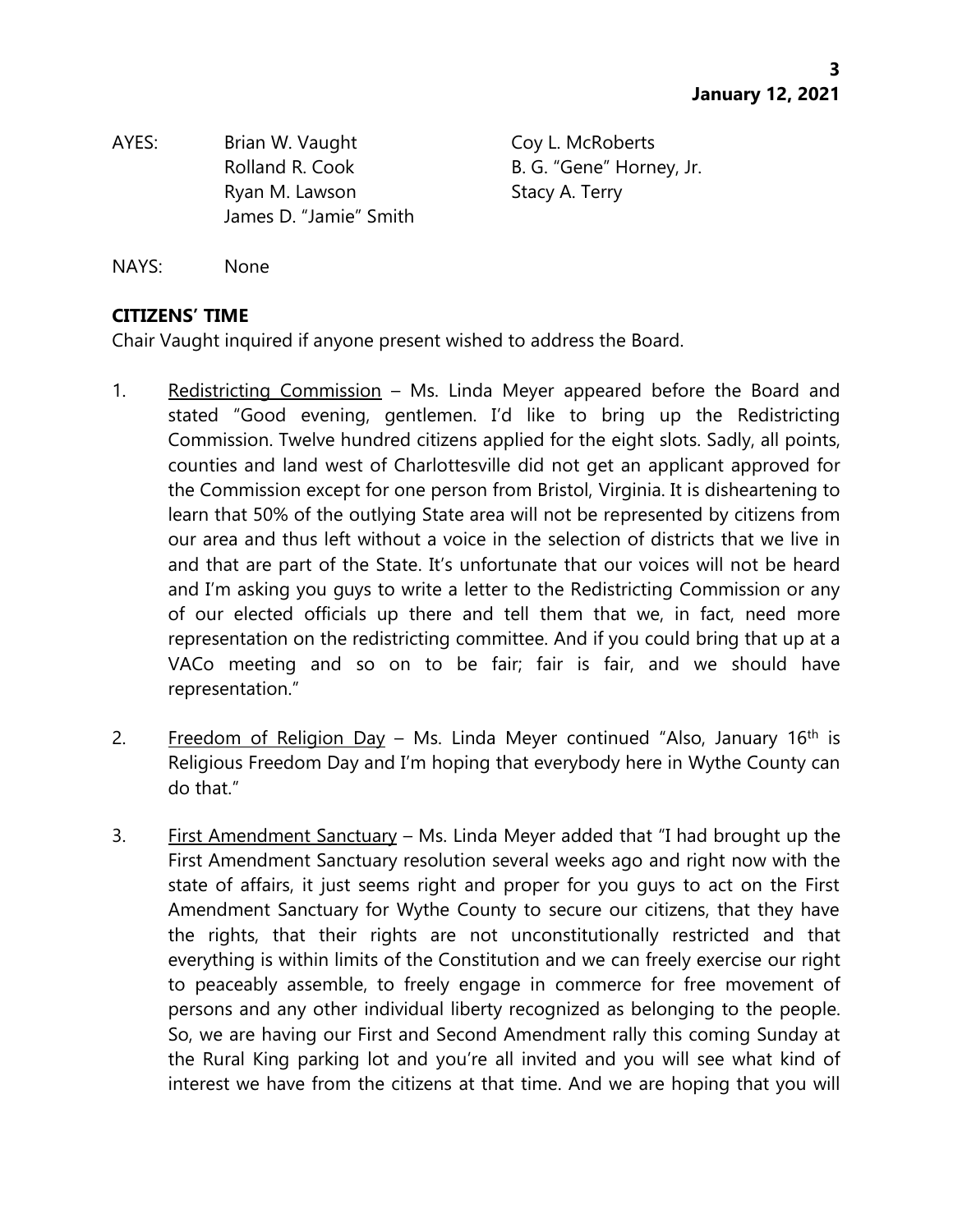AYES: Brian W. Vaught Coy L. McRoberts Ryan M. Lawson Stacy A. Terry James D. "Jamie" Smith

Rolland R. Cook B. G. "Gene" Horney, Jr.

NAYS: None

# **CITIZENS' TIME**

Chair Vaught inquired if anyone present wished to address the Board.

- 1. Redistricting Commission Ms. Linda Meyer appeared before the Board and stated "Good evening, gentlemen. I'd like to bring up the Redistricting Commission. Twelve hundred citizens applied for the eight slots. Sadly, all points, counties and land west of Charlottesville did not get an applicant approved for the Commission except for one person from Bristol, Virginia. It is disheartening to learn that 50% of the outlying State area will not be represented by citizens from our area and thus left without a voice in the selection of districts that we live in and that are part of the State. It's unfortunate that our voices will not be heard and I'm asking you guys to write a letter to the Redistricting Commission or any of our elected officials up there and tell them that we, in fact, need more representation on the redistricting committee. And if you could bring that up at a VACo meeting and so on to be fair; fair is fair, and we should have representation."
- 2. Freedom of Religion Day Ms. Linda Meyer continued "Also, January  $16<sup>th</sup>$  is Religious Freedom Day and I'm hoping that everybody here in Wythe County can do that."
- 3. First Amendment Sanctuary Ms. Linda Meyer added that "I had brought up the First Amendment Sanctuary resolution several weeks ago and right now with the state of affairs, it just seems right and proper for you guys to act on the First Amendment Sanctuary for Wythe County to secure our citizens, that they have the rights, that their rights are not unconstitutionally restricted and that everything is within limits of the Constitution and we can freely exercise our right to peaceably assemble, to freely engage in commerce for free movement of persons and any other individual liberty recognized as belonging to the people. So, we are having our First and Second Amendment rally this coming Sunday at the Rural King parking lot and you're all invited and you will see what kind of interest we have from the citizens at that time. And we are hoping that you will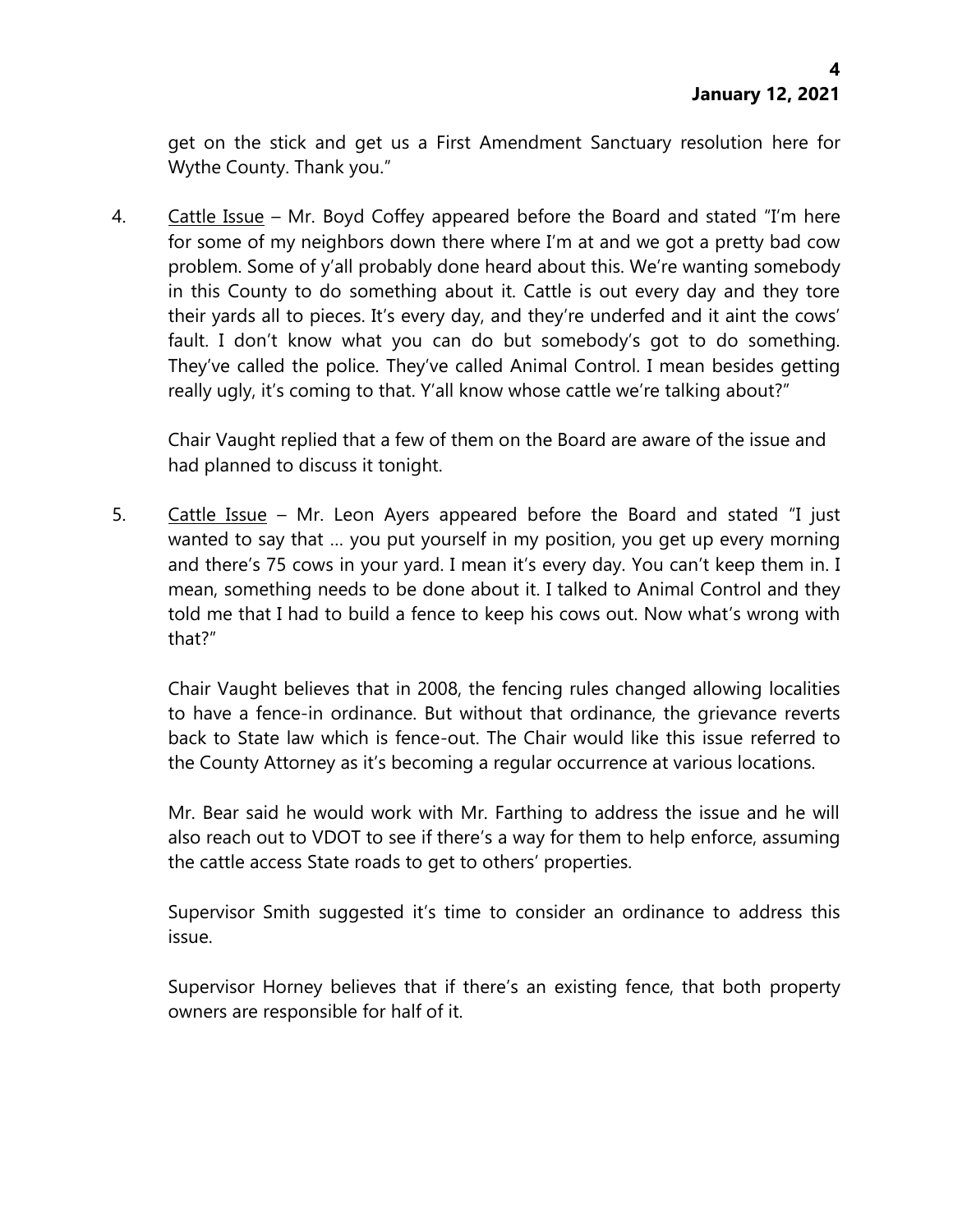get on the stick and get us a First Amendment Sanctuary resolution here for Wythe County. Thank you."

4. Cattle Issue – Mr. Boyd Coffey appeared before the Board and stated "I'm here for some of my neighbors down there where I'm at and we got a pretty bad cow problem. Some of y'all probably done heard about this. We're wanting somebody in this County to do something about it. Cattle is out every day and they tore their yards all to pieces. It's every day, and they're underfed and it aint the cows' fault. I don't know what you can do but somebody's got to do something. They've called the police. They've called Animal Control. I mean besides getting really ugly, it's coming to that. Y'all know whose cattle we're talking about?"

Chair Vaught replied that a few of them on the Board are aware of the issue and had planned to discuss it tonight.

5. Cattle Issue – Mr. Leon Ayers appeared before the Board and stated "I just wanted to say that … you put yourself in my position, you get up every morning and there's 75 cows in your yard. I mean it's every day. You can't keep them in. I mean, something needs to be done about it. I talked to Animal Control and they told me that I had to build a fence to keep his cows out. Now what's wrong with that?"

Chair Vaught believes that in 2008, the fencing rules changed allowing localities to have a fence-in ordinance. But without that ordinance, the grievance reverts back to State law which is fence-out. The Chair would like this issue referred to the County Attorney as it's becoming a regular occurrence at various locations.

Mr. Bear said he would work with Mr. Farthing to address the issue and he will also reach out to VDOT to see if there's a way for them to help enforce, assuming the cattle access State roads to get to others' properties.

Supervisor Smith suggested it's time to consider an ordinance to address this issue.

Supervisor Horney believes that if there's an existing fence, that both property owners are responsible for half of it.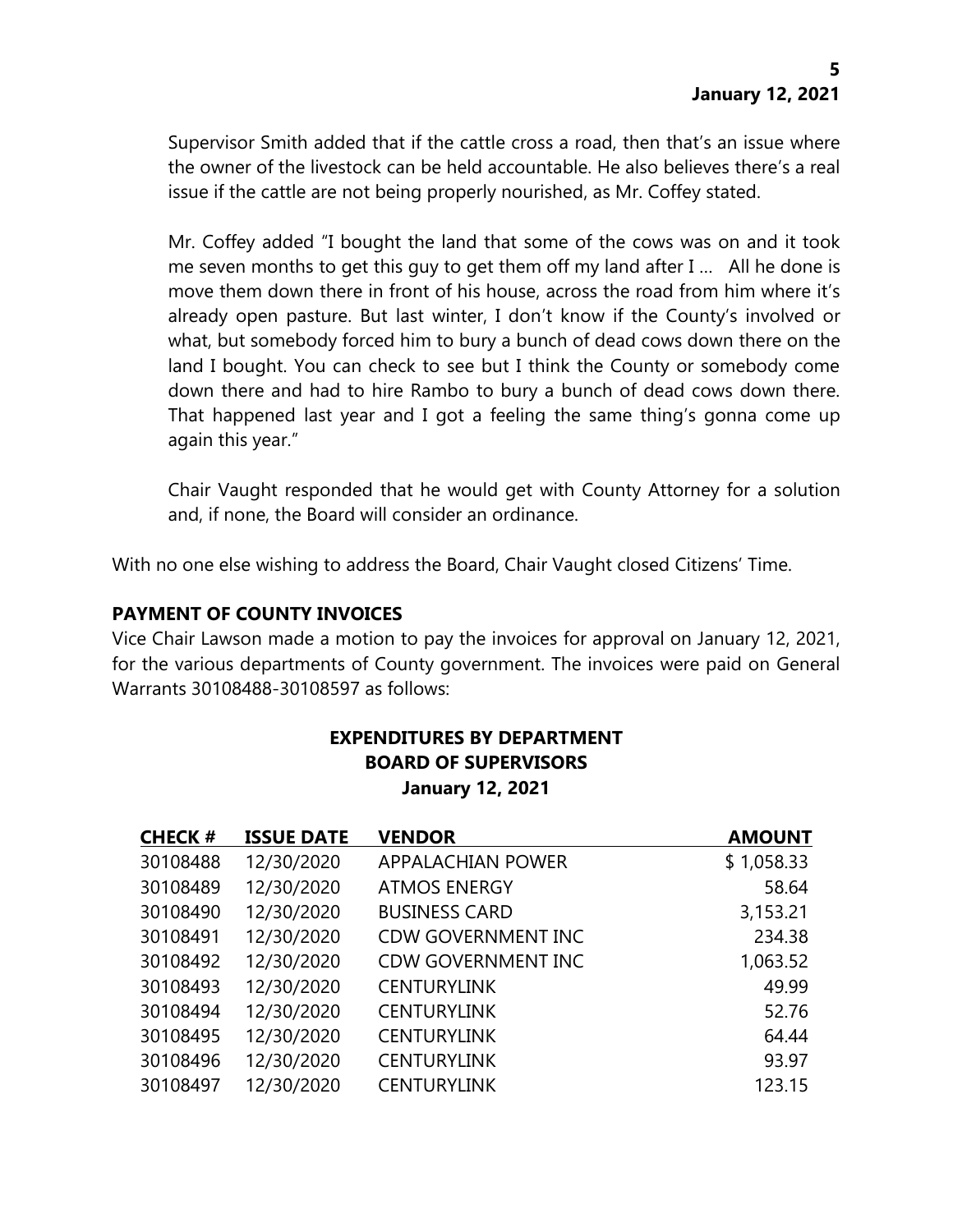Supervisor Smith added that if the cattle cross a road, then that's an issue where the owner of the livestock can be held accountable. He also believes there's a real issue if the cattle are not being properly nourished, as Mr. Coffey stated.

Mr. Coffey added "I bought the land that some of the cows was on and it took me seven months to get this guy to get them off my land after I … All he done is move them down there in front of his house, across the road from him where it's already open pasture. But last winter, I don't know if the County's involved or what, but somebody forced him to bury a bunch of dead cows down there on the land I bought. You can check to see but I think the County or somebody come down there and had to hire Rambo to bury a bunch of dead cows down there. That happened last year and I got a feeling the same thing's gonna come up again this year."

Chair Vaught responded that he would get with County Attorney for a solution and, if none, the Board will consider an ordinance.

With no one else wishing to address the Board, Chair Vaught closed Citizens' Time.

# **PAYMENT OF COUNTY INVOICES**

Vice Chair Lawson made a motion to pay the invoices for approval on January 12, 2021, for the various departments of County government. The invoices were paid on General Warrants 30108488-30108597 as follows:

| <b>EXPENDITURES BY DEPARTMENT</b> |
|-----------------------------------|
| <b>BOARD OF SUPERVISORS</b>       |
| <b>January 12, 2021</b>           |

| <b>CHECK #</b> | <b>ISSUE DATE</b> | <b>VENDOR</b>             | <b>AMOUNT</b> |
|----------------|-------------------|---------------------------|---------------|
| 30108488       | 12/30/2020        | <b>APPALACHIAN POWER</b>  | \$1,058.33    |
| 30108489       | 12/30/2020        | <b>ATMOS ENERGY</b>       | 58.64         |
| 30108490       | 12/30/2020        | <b>BUSINESS CARD</b>      | 3,153.21      |
| 30108491       | 12/30/2020        | <b>CDW GOVERNMENT INC</b> | 234.38        |
| 30108492       | 12/30/2020        | <b>CDW GOVERNMENT INC</b> | 1,063.52      |
| 30108493       | 12/30/2020        | <b>CENTURYLINK</b>        | 49.99         |
| 30108494       | 12/30/2020        | <b>CENTURYLINK</b>        | 52.76         |
| 30108495       | 12/30/2020        | <b>CENTURYLINK</b>        | 64.44         |
| 30108496       | 12/30/2020        | <b>CENTURYLINK</b>        | 93.97         |
| 30108497       | 12/30/2020        | <b>CENTURYLINK</b>        | 123.15        |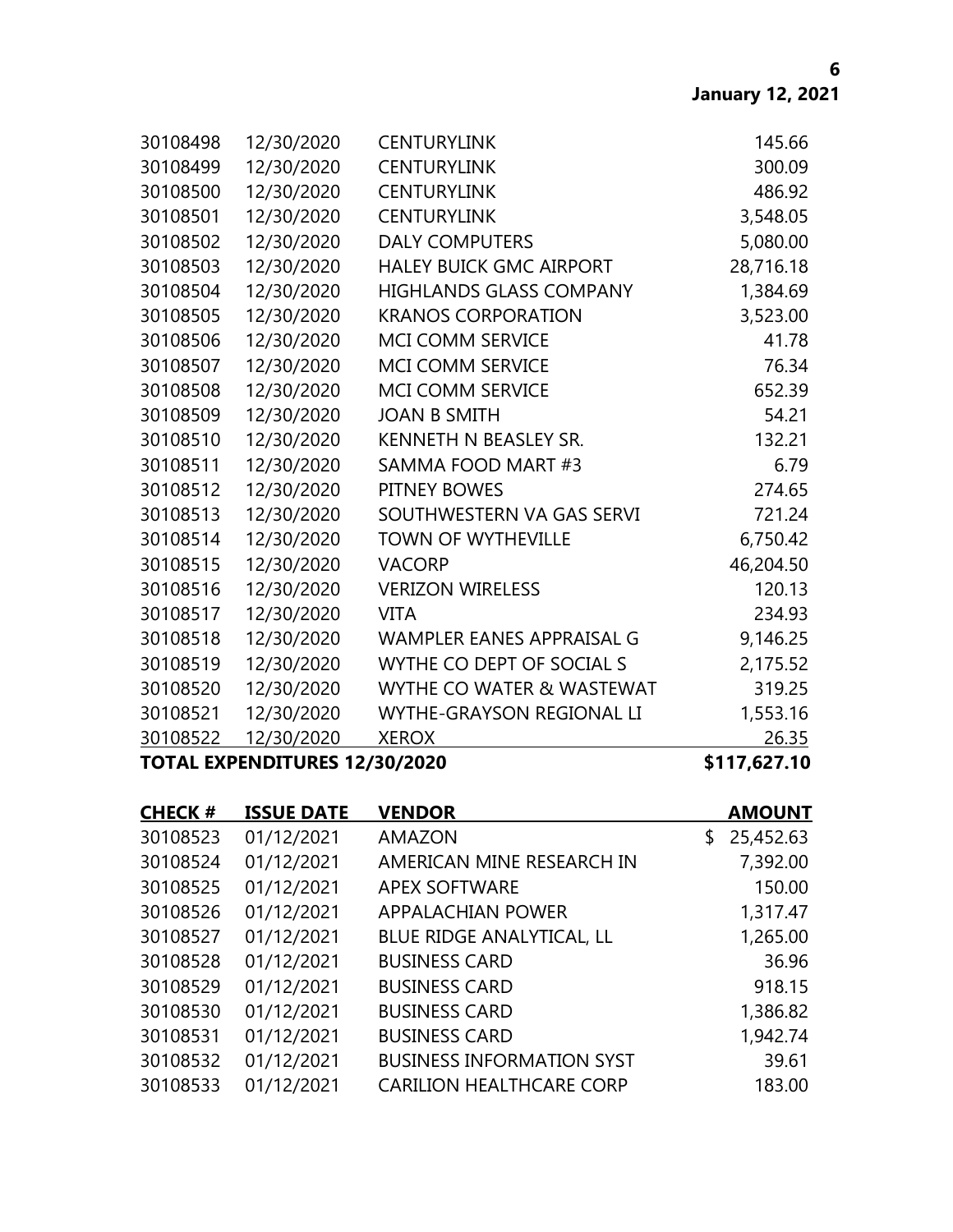| 30108498 | 12/30/2020 | <b>CENTURYLINK</b>               | 145.66    |
|----------|------------|----------------------------------|-----------|
| 30108499 | 12/30/2020 | <b>CENTURYLINK</b>               | 300.09    |
| 30108500 | 12/30/2020 | <b>CENTURYLINK</b>               | 486.92    |
| 30108501 | 12/30/2020 | <b>CENTURYLINK</b>               | 3,548.05  |
| 30108502 | 12/30/2020 | <b>DALY COMPUTERS</b>            | 5,080.00  |
| 30108503 | 12/30/2020 | <b>HALEY BUICK GMC AIRPORT</b>   | 28,716.18 |
| 30108504 | 12/30/2020 | <b>HIGHLANDS GLASS COMPANY</b>   | 1,384.69  |
| 30108505 | 12/30/2020 | <b>KRANOS CORPORATION</b>        | 3,523.00  |
| 30108506 | 12/30/2020 | <b>MCI COMM SERVICE</b>          | 41.78     |
| 30108507 | 12/30/2020 | MCI COMM SERVICE                 | 76.34     |
| 30108508 | 12/30/2020 | <b>MCI COMM SERVICE</b>          | 652.39    |
| 30108509 | 12/30/2020 | <b>JOAN B SMITH</b>              | 54.21     |
| 30108510 | 12/30/2020 | KENNETH N BEASLEY SR.            | 132.21    |
| 30108511 | 12/30/2020 | SAMMA FOOD MART #3               | 6.79      |
| 30108512 | 12/30/2020 | PITNEY BOWES                     | 274.65    |
| 30108513 | 12/30/2020 | SOUTHWESTERN VA GAS SERVI        | 721.24    |
| 30108514 | 12/30/2020 | <b>TOWN OF WYTHEVILLE</b>        | 6,750.42  |
| 30108515 | 12/30/2020 | <b>VACORP</b>                    | 46,204.50 |
| 30108516 | 12/30/2020 | <b>VERIZON WIRELESS</b>          | 120.13    |
| 30108517 | 12/30/2020 | <b>VITA</b>                      | 234.93    |
| 30108518 | 12/30/2020 | <b>WAMPLER EANES APPRAISAL G</b> | 9,146.25  |
| 30108519 | 12/30/2020 | WYTHE CO DEPT OF SOCIAL S        | 2,175.52  |
| 30108520 | 12/30/2020 | WYTHE CO WATER & WASTEWAT        | 319.25    |
| 30108521 | 12/30/2020 | <b>WYTHE-GRAYSON REGIONAL LI</b> | 1,553.16  |
| 30108522 | 12/30/2020 | <b>XEROX</b>                     | 26.35     |

# **TOTAL EXPENDITURES 12/30/2020 \$117,627.10**

| <b>CHECK#</b> | <b>ISSUE DATE</b> | <b>VENDOR</b>                    | <b>AMOUNT</b>   |
|---------------|-------------------|----------------------------------|-----------------|
| 30108523      | 01/12/2021        | <b>AMAZON</b>                    | 25,452.63<br>\$ |
| 30108524      | 01/12/2021        | AMERICAN MINE RESEARCH IN        | 7,392.00        |
| 30108525      | 01/12/2021        | <b>APEX SOFTWARE</b>             | 150.00          |
| 30108526      | 01/12/2021        | APPALACHIAN POWER                | 1,317.47        |
| 30108527      | 01/12/2021        | <b>BLUE RIDGE ANALYTICAL, LL</b> | 1,265.00        |
| 30108528      | 01/12/2021        | <b>BUSINESS CARD</b>             | 36.96           |
| 30108529      | 01/12/2021        | <b>BUSINESS CARD</b>             | 918.15          |
| 30108530      | 01/12/2021        | <b>BUSINESS CARD</b>             | 1,386.82        |
| 30108531      | 01/12/2021        | <b>BUSINESS CARD</b>             | 1,942.74        |
| 30108532      | 01/12/2021        | <b>BUSINESS INFORMATION SYST</b> | 39.61           |
| 30108533      | 01/12/2021        | <b>CARILION HEALTHCARE CORP</b>  | 183.00          |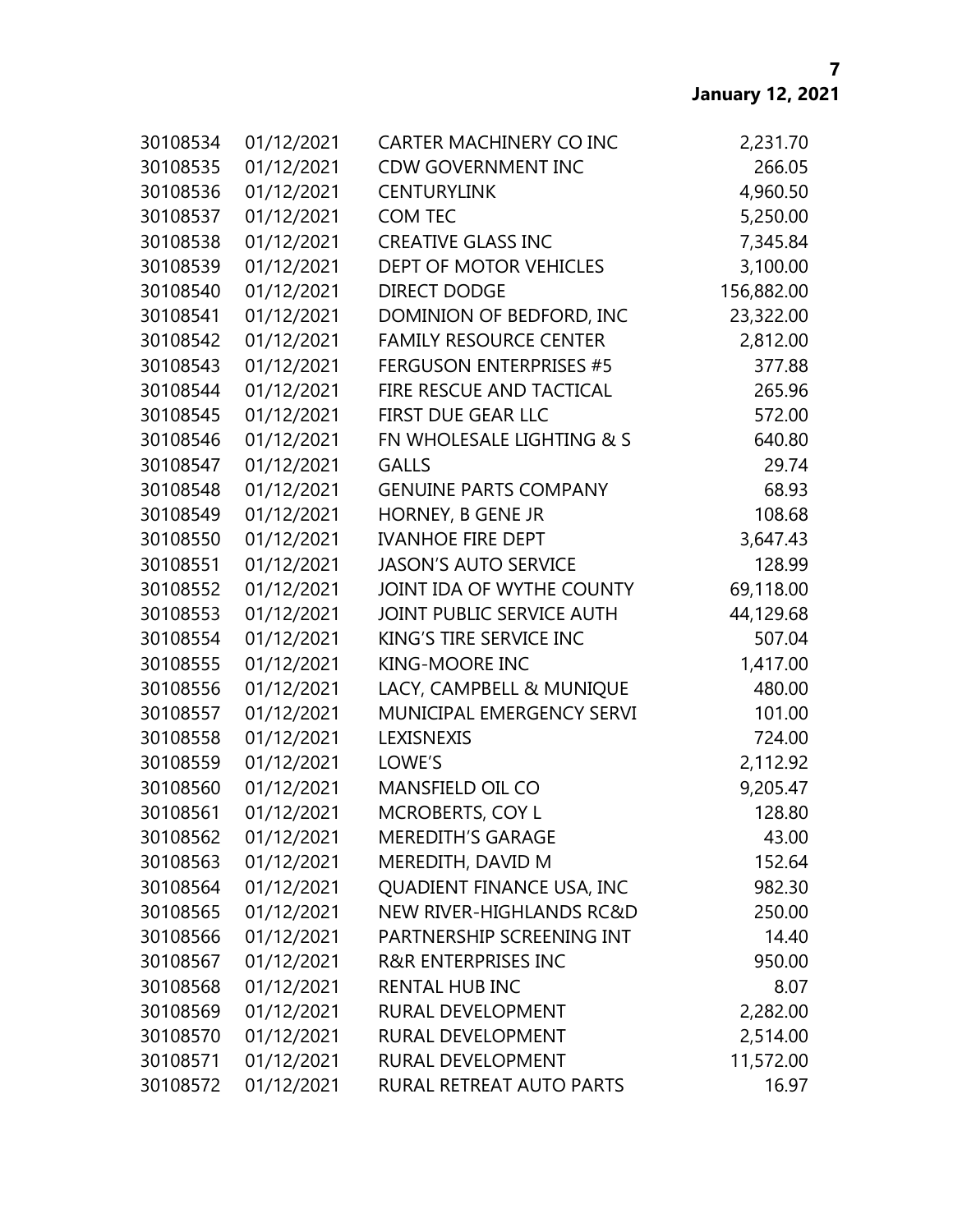| 30108534 | 01/12/2021 | <b>CARTER MACHINERY CO INC</b>      | 2,231.70   |
|----------|------------|-------------------------------------|------------|
| 30108535 | 01/12/2021 | <b>CDW GOVERNMENT INC</b>           | 266.05     |
| 30108536 | 01/12/2021 | <b>CENTURYLINK</b>                  | 4,960.50   |
| 30108537 | 01/12/2021 | <b>COM TEC</b>                      | 5,250.00   |
| 30108538 | 01/12/2021 | <b>CREATIVE GLASS INC</b>           | 7,345.84   |
| 30108539 | 01/12/2021 | DEPT OF MOTOR VEHICLES              | 3,100.00   |
| 30108540 | 01/12/2021 | <b>DIRECT DODGE</b>                 | 156,882.00 |
| 30108541 | 01/12/2021 | DOMINION OF BEDFORD, INC            | 23,322.00  |
| 30108542 | 01/12/2021 | <b>FAMILY RESOURCE CENTER</b>       | 2,812.00   |
| 30108543 | 01/12/2021 | <b>FERGUSON ENTERPRISES #5</b>      | 377.88     |
| 30108544 | 01/12/2021 | FIRE RESCUE AND TACTICAL            | 265.96     |
| 30108545 | 01/12/2021 | FIRST DUE GEAR LLC                  | 572.00     |
| 30108546 | 01/12/2021 | FN WHOLESALE LIGHTING & S           | 640.80     |
| 30108547 | 01/12/2021 | <b>GALLS</b>                        | 29.74      |
| 30108548 | 01/12/2021 | <b>GENUINE PARTS COMPANY</b>        | 68.93      |
| 30108549 | 01/12/2021 | HORNEY, B GENE JR                   | 108.68     |
| 30108550 | 01/12/2021 | <b>IVANHOE FIRE DEPT</b>            | 3,647.43   |
| 30108551 | 01/12/2021 | <b>JASON'S AUTO SERVICE</b>         | 128.99     |
| 30108552 | 01/12/2021 | JOINT IDA OF WYTHE COUNTY           | 69,118.00  |
| 30108553 | 01/12/2021 | JOINT PUBLIC SERVICE AUTH           | 44,129.68  |
| 30108554 | 01/12/2021 | KING'S TIRE SERVICE INC             | 507.04     |
| 30108555 | 01/12/2021 | <b>KING-MOORE INC</b>               | 1,417.00   |
| 30108556 | 01/12/2021 | LACY, CAMPBELL & MUNIQUE            | 480.00     |
| 30108557 | 01/12/2021 | MUNICIPAL EMERGENCY SERVI           | 101.00     |
| 30108558 | 01/12/2021 | LEXISNEXIS                          | 724.00     |
| 30108559 | 01/12/2021 | LOWE'S                              | 2,112.92   |
| 30108560 | 01/12/2021 | <b>MANSFIELD OIL CO</b>             | 9,205.47   |
| 30108561 | 01/12/2021 | <b>MCROBERTS, COY L</b>             | 128.80     |
| 30108562 | 01/12/2021 | <b>MEREDITH'S GARAGE</b>            | 43.00      |
| 30108563 | 01/12/2021 | MEREDITH, DAVID M                   | 152.64     |
| 30108564 | 01/12/2021 | QUADIENT FINANCE USA, INC           | 982.30     |
| 30108565 | 01/12/2021 | <b>NEW RIVER-HIGHLANDS RC&amp;D</b> | 250.00     |
| 30108566 | 01/12/2021 | PARTNERSHIP SCREENING INT           | 14.40      |
| 30108567 | 01/12/2021 | <b>R&amp;R ENTERPRISES INC</b>      | 950.00     |
| 30108568 | 01/12/2021 | <b>RENTAL HUB INC</b>               | 8.07       |
| 30108569 | 01/12/2021 | RURAL DEVELOPMENT                   | 2,282.00   |
| 30108570 | 01/12/2021 | RURAL DEVELOPMENT                   | 2,514.00   |
| 30108571 | 01/12/2021 | RURAL DEVELOPMENT                   | 11,572.00  |
| 30108572 | 01/12/2021 | RURAL RETREAT AUTO PARTS            | 16.97      |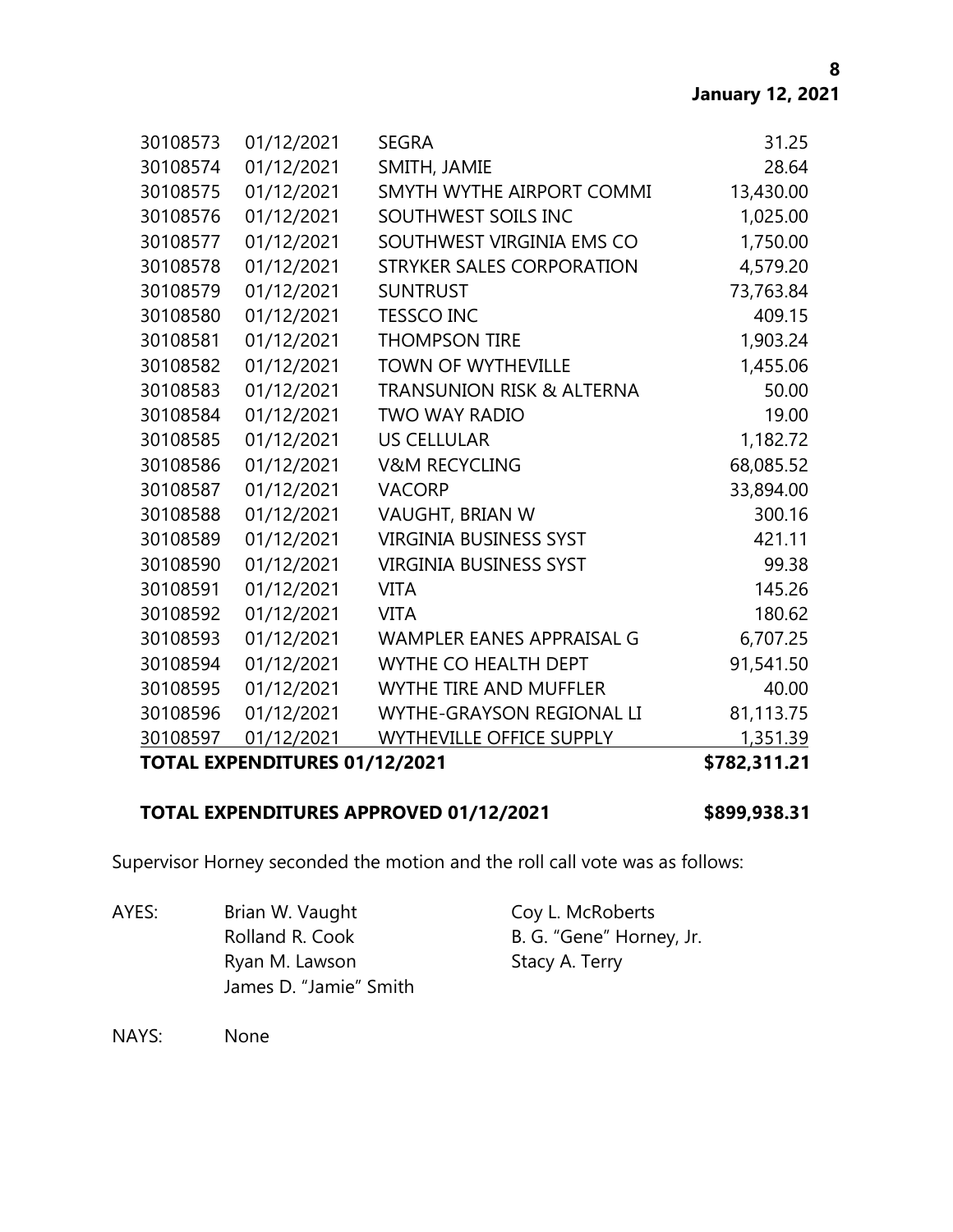| 30108573 | 01/12/2021                      | <b>SEGRA</b>                         | 31.25        |
|----------|---------------------------------|--------------------------------------|--------------|
| 30108574 | 01/12/2021                      | SMITH, JAMIE                         | 28.64        |
| 30108575 | 01/12/2021                      | SMYTH WYTHE AIRPORT COMMI            | 13,430.00    |
| 30108576 | 01/12/2021                      | SOUTHWEST SOILS INC                  | 1,025.00     |
| 30108577 | 01/12/2021                      | SOUTHWEST VIRGINIA EMS CO            | 1,750.00     |
| 30108578 | 01/12/2021                      | STRYKER SALES CORPORATION            | 4,579.20     |
| 30108579 | 01/12/2021                      | <b>SUNTRUST</b>                      | 73,763.84    |
| 30108580 | 01/12/2021                      | <b>TESSCO INC</b>                    | 409.15       |
| 30108581 | 01/12/2021                      | <b>THOMPSON TIRE</b>                 | 1,903.24     |
| 30108582 | 01/12/2021                      | <b>TOWN OF WYTHEVILLE</b>            | 1,455.06     |
| 30108583 | 01/12/2021                      | <b>TRANSUNION RISK &amp; ALTERNA</b> | 50.00        |
| 30108584 | 01/12/2021                      | <b>TWO WAY RADIO</b>                 | 19.00        |
| 30108585 | 01/12/2021                      | <b>US CELLULAR</b>                   | 1,182.72     |
| 30108586 | 01/12/2021                      | <b>V&amp;M RECYCLING</b>             | 68,085.52    |
| 30108587 | 01/12/2021                      | <b>VACORP</b>                        | 33,894.00    |
| 30108588 | 01/12/2021                      | VAUGHT, BRIAN W                      | 300.16       |
| 30108589 | 01/12/2021                      | <b>VIRGINIA BUSINESS SYST</b>        | 421.11       |
| 30108590 | 01/12/2021                      | <b>VIRGINIA BUSINESS SYST</b>        | 99.38        |
| 30108591 | 01/12/2021                      | <b>VITA</b>                          | 145.26       |
| 30108592 | 01/12/2021                      | <b>VITA</b>                          | 180.62       |
| 30108593 | 01/12/2021                      | WAMPLER EANES APPRAISAL G            | 6,707.25     |
| 30108594 | 01/12/2021                      | WYTHE CO HEALTH DEPT                 | 91,541.50    |
| 30108595 | 01/12/2021                      | <b>WYTHE TIRE AND MUFFLER</b>        | 40.00        |
| 30108596 | 01/12/2021                      | WYTHE-GRAYSON REGIONAL LI            | 81,113.75    |
| 30108597 | 01/12/2021                      | <b>WYTHEVILLE OFFICE SUPPLY</b>      | 1,351.39     |
|          | TATAL EVBENDITURES A4 149 19094 |                                      | * 703 344 34 |

# **TOTAL EXPENDITURES 01/12/2021 \$782,311.21**

# **TOTAL EXPENDITURES APPROVED 01/12/2021 \$899,938.31**

Supervisor Horney seconded the motion and the roll call vote was as follows:

AYES: Brian W. Vaught Coy L. McRoberts Rolland R. Cook B. G. "Gene" Horney, Jr. Ryan M. Lawson Stacy A. Terry James D. "Jamie" Smith

NAYS: None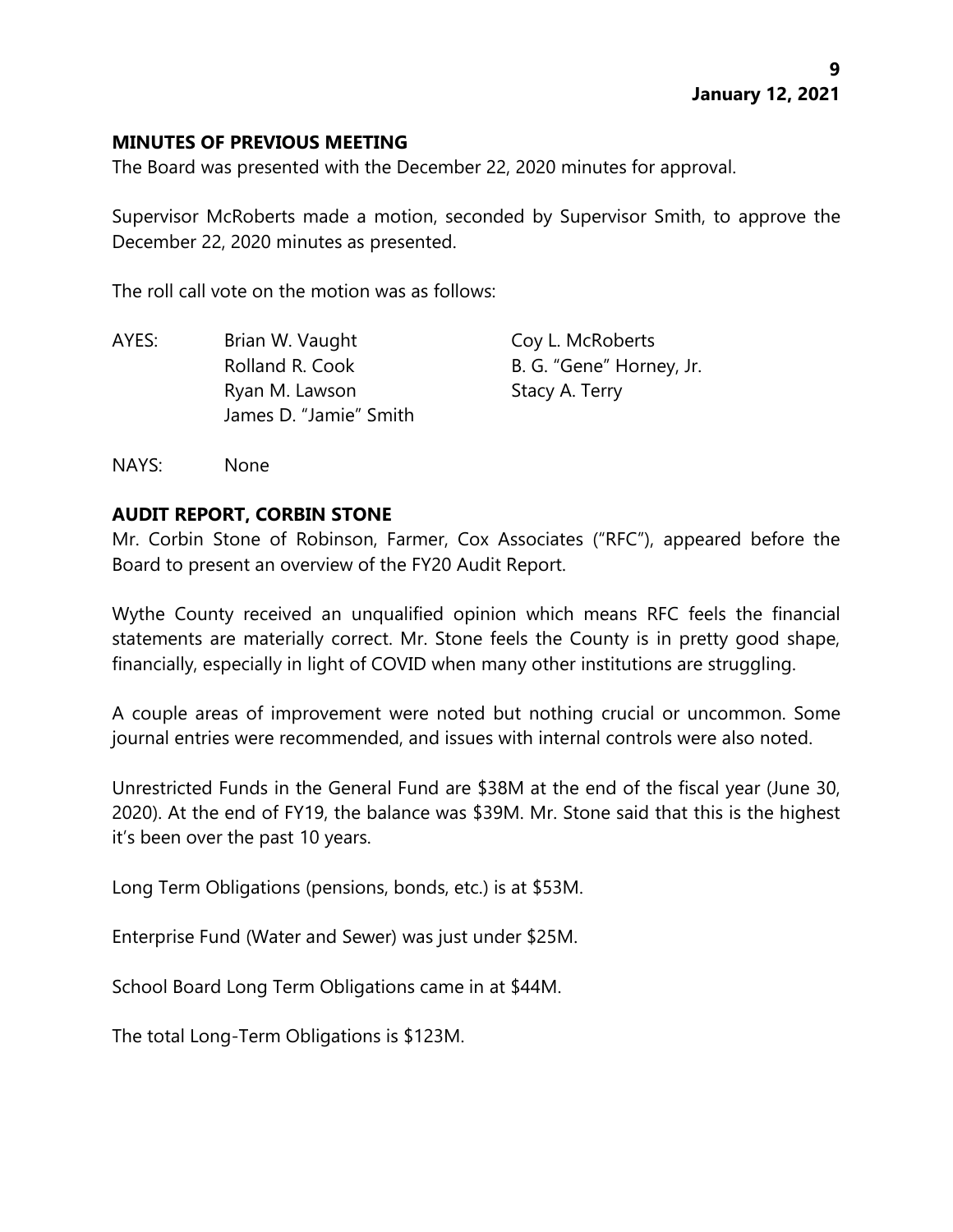## **MINUTES OF PREVIOUS MEETING**

The Board was presented with the December 22, 2020 minutes for approval.

Supervisor McRoberts made a motion, seconded by Supervisor Smith, to approve the December 22, 2020 minutes as presented.

The roll call vote on the motion was as follows:

| Brian W. Vaught        | Coy L. McRoberts         |
|------------------------|--------------------------|
| Rolland R. Cook        | B. G. "Gene" Horney, Jr. |
| Ryan M. Lawson         | Stacy A. Terry           |
| James D. "Jamie" Smith |                          |
|                        |                          |

NAYS: None

## **AUDIT REPORT, CORBIN STONE**

Mr. Corbin Stone of Robinson, Farmer, Cox Associates ("RFC"), appeared before the Board to present an overview of the FY20 Audit Report.

Wythe County received an unqualified opinion which means RFC feels the financial statements are materially correct. Mr. Stone feels the County is in pretty good shape, financially, especially in light of COVID when many other institutions are struggling.

A couple areas of improvement were noted but nothing crucial or uncommon. Some journal entries were recommended, and issues with internal controls were also noted.

Unrestricted Funds in the General Fund are \$38M at the end of the fiscal year (June 30, 2020). At the end of FY19, the balance was \$39M. Mr. Stone said that this is the highest it's been over the past 10 years.

Long Term Obligations (pensions, bonds, etc.) is at \$53M.

Enterprise Fund (Water and Sewer) was just under \$25M.

School Board Long Term Obligations came in at \$44M.

The total Long-Term Obligations is \$123M.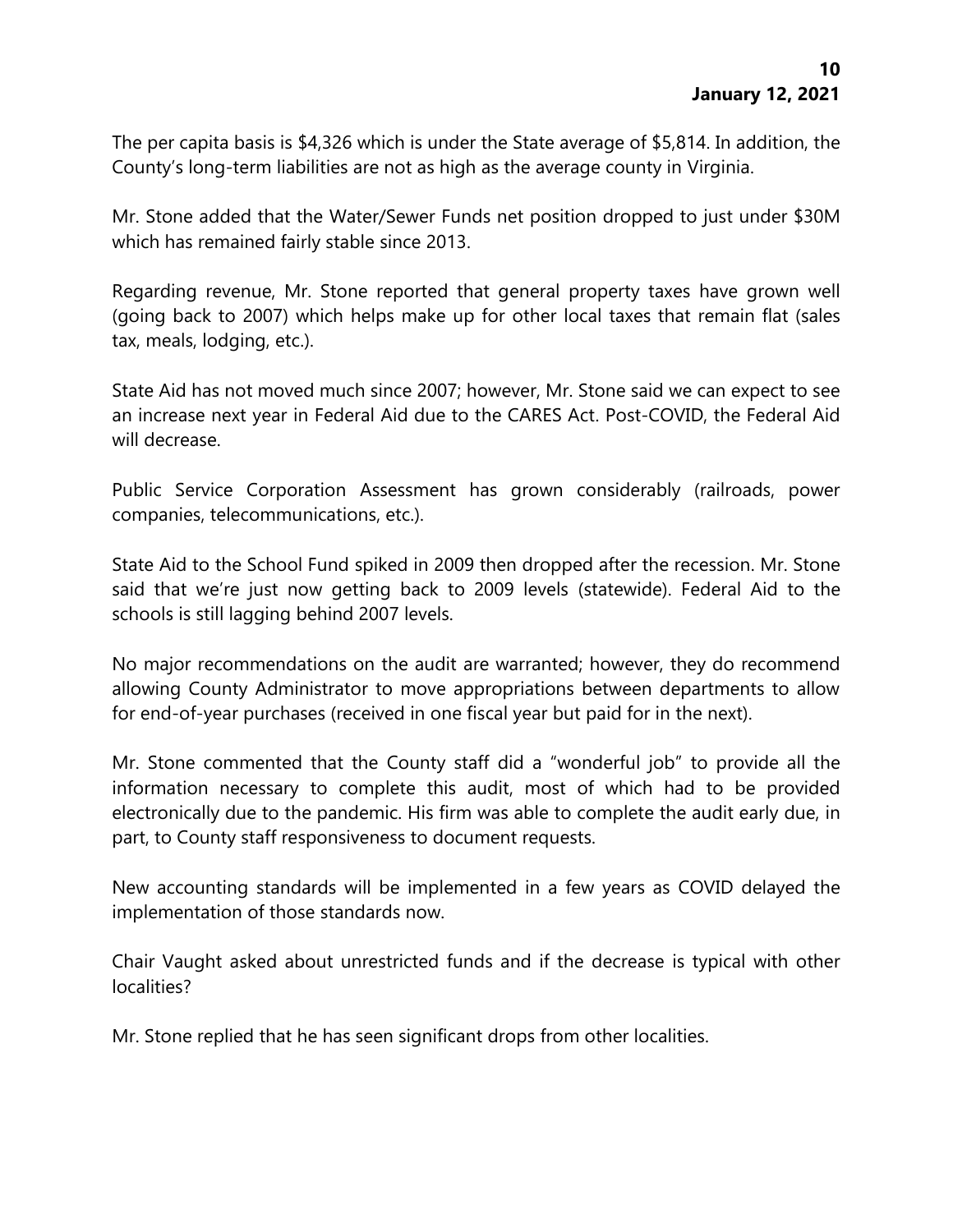The per capita basis is \$4,326 which is under the State average of \$5,814. In addition, the County's long-term liabilities are not as high as the average county in Virginia.

Mr. Stone added that the Water/Sewer Funds net position dropped to just under \$30M which has remained fairly stable since 2013.

Regarding revenue, Mr. Stone reported that general property taxes have grown well (going back to 2007) which helps make up for other local taxes that remain flat (sales tax, meals, lodging, etc.).

State Aid has not moved much since 2007; however, Mr. Stone said we can expect to see an increase next year in Federal Aid due to the CARES Act. Post-COVID, the Federal Aid will decrease.

Public Service Corporation Assessment has grown considerably (railroads, power companies, telecommunications, etc.).

State Aid to the School Fund spiked in 2009 then dropped after the recession. Mr. Stone said that we're just now getting back to 2009 levels (statewide). Federal Aid to the schools is still lagging behind 2007 levels.

No major recommendations on the audit are warranted; however, they do recommend allowing County Administrator to move appropriations between departments to allow for end-of-year purchases (received in one fiscal year but paid for in the next).

Mr. Stone commented that the County staff did a "wonderful job" to provide all the information necessary to complete this audit, most of which had to be provided electronically due to the pandemic. His firm was able to complete the audit early due, in part, to County staff responsiveness to document requests.

New accounting standards will be implemented in a few years as COVID delayed the implementation of those standards now.

Chair Vaught asked about unrestricted funds and if the decrease is typical with other localities?

Mr. Stone replied that he has seen significant drops from other localities.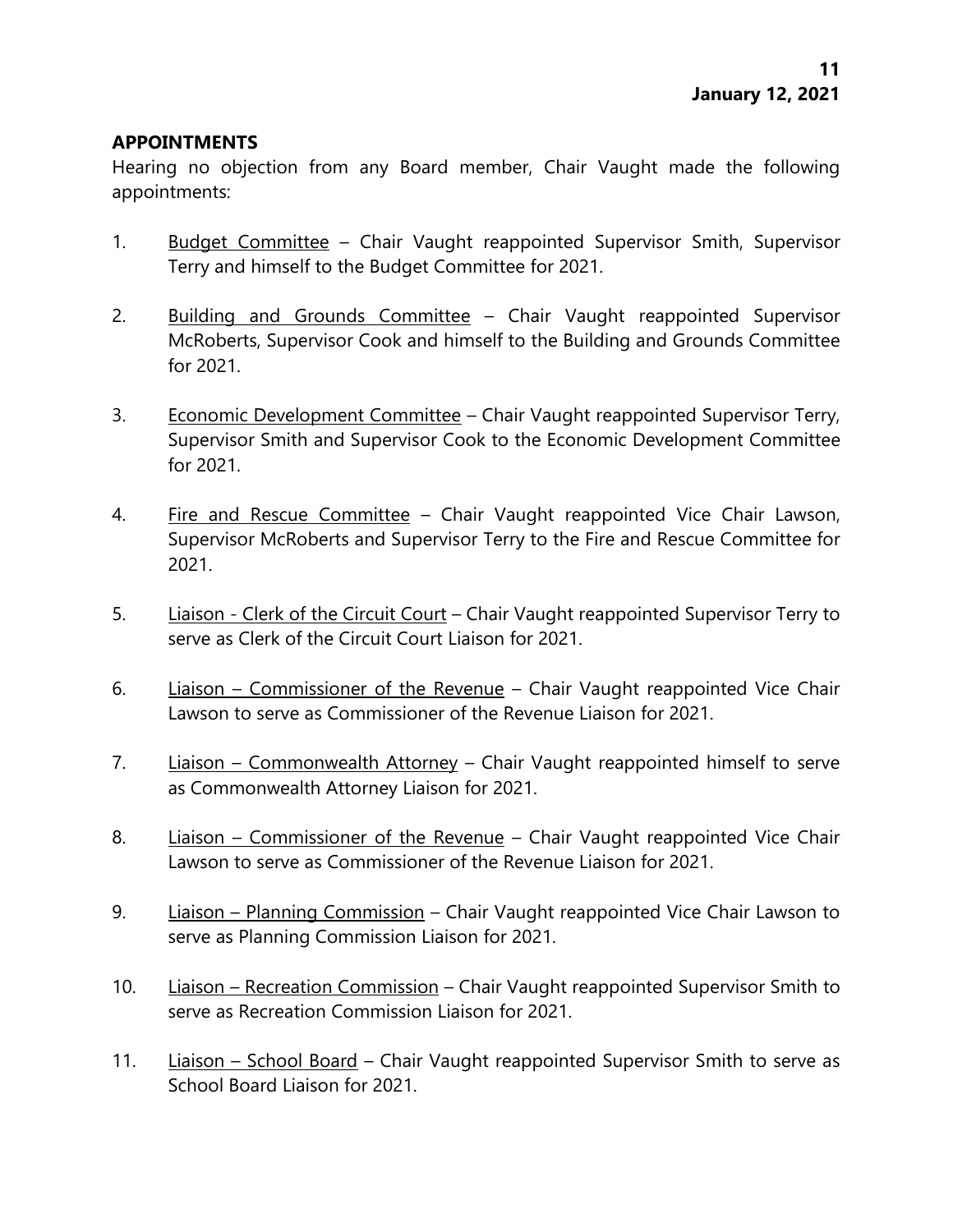## **APPOINTMENTS**

Hearing no objection from any Board member, Chair Vaught made the following appointments:

- 1. Budget Committee Chair Vaught reappointed Supervisor Smith, Supervisor Terry and himself to the Budget Committee for 2021.
- 2. Building and Grounds Committee Chair Vaught reappointed Supervisor McRoberts, Supervisor Cook and himself to the Building and Grounds Committee for 2021.
- 3. Economic Development Committee Chair Vaught reappointed Supervisor Terry, Supervisor Smith and Supervisor Cook to the Economic Development Committee for 2021.
- 4. Fire and Rescue Committee Chair Vaught reappointed Vice Chair Lawson, Supervisor McRoberts and Supervisor Terry to the Fire and Rescue Committee for 2021.
- 5. Liaison Clerk of the Circuit Court Chair Vaught reappointed Supervisor Terry to serve as Clerk of the Circuit Court Liaison for 2021.
- 6. Liaison Commissioner of the Revenue Chair Vaught reappointed Vice Chair Lawson to serve as Commissioner of the Revenue Liaison for 2021.
- 7. Liaison Commonwealth Attorney Chair Vaught reappointed himself to serve as Commonwealth Attorney Liaison for 2021.
- 8. Liaison Commissioner of the Revenue Chair Vaught reappointed Vice Chair Lawson to serve as Commissioner of the Revenue Liaison for 2021.
- 9. Liaison Planning Commission Chair Vaught reappointed Vice Chair Lawson to serve as Planning Commission Liaison for 2021.
- 10. Liaison Recreation Commission Chair Vaught reappointed Supervisor Smith to serve as Recreation Commission Liaison for 2021.
- 11. Liaison School Board Chair Vaught reappointed Supervisor Smith to serve as School Board Liaison for 2021.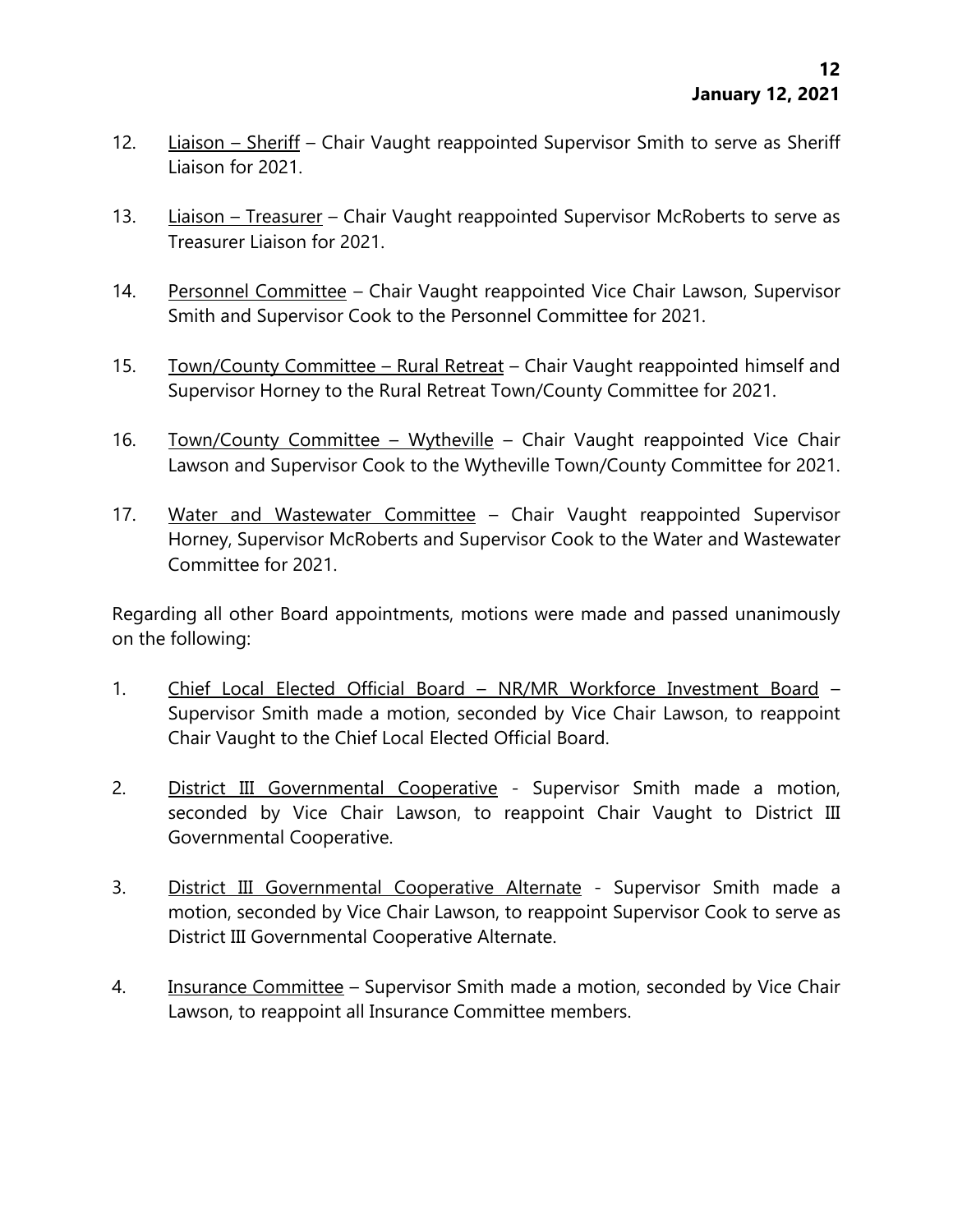- 12. Liaison Sheriff Chair Vaught reappointed Supervisor Smith to serve as Sheriff Liaison for 2021.
- 13. Liaison Treasurer Chair Vaught reappointed Supervisor McRoberts to serve as Treasurer Liaison for 2021.
- 14. Personnel Committee Chair Vaught reappointed Vice Chair Lawson, Supervisor Smith and Supervisor Cook to the Personnel Committee for 2021.
- 15. Town/County Committee Rural Retreat Chair Vaught reappointed himself and Supervisor Horney to the Rural Retreat Town/County Committee for 2021.
- 16. Town/County Committee Wytheville Chair Vaught reappointed Vice Chair Lawson and Supervisor Cook to the Wytheville Town/County Committee for 2021.
- 17. Water and Wastewater Committee Chair Vaught reappointed Supervisor Horney, Supervisor McRoberts and Supervisor Cook to the Water and Wastewater Committee for 2021.

Regarding all other Board appointments, motions were made and passed unanimously on the following:

- 1. Chief Local Elected Official Board NR/MR Workforce Investment Board Supervisor Smith made a motion, seconded by Vice Chair Lawson, to reappoint Chair Vaught to the Chief Local Elected Official Board.
- 2. District III Governmental Cooperative Supervisor Smith made a motion, seconded by Vice Chair Lawson, to reappoint Chair Vaught to District III Governmental Cooperative.
- 3. District III Governmental Cooperative Alternate Supervisor Smith made a motion, seconded by Vice Chair Lawson, to reappoint Supervisor Cook to serve as District III Governmental Cooperative Alternate.
- 4. Insurance Committee Supervisor Smith made a motion, seconded by Vice Chair Lawson, to reappoint all Insurance Committee members.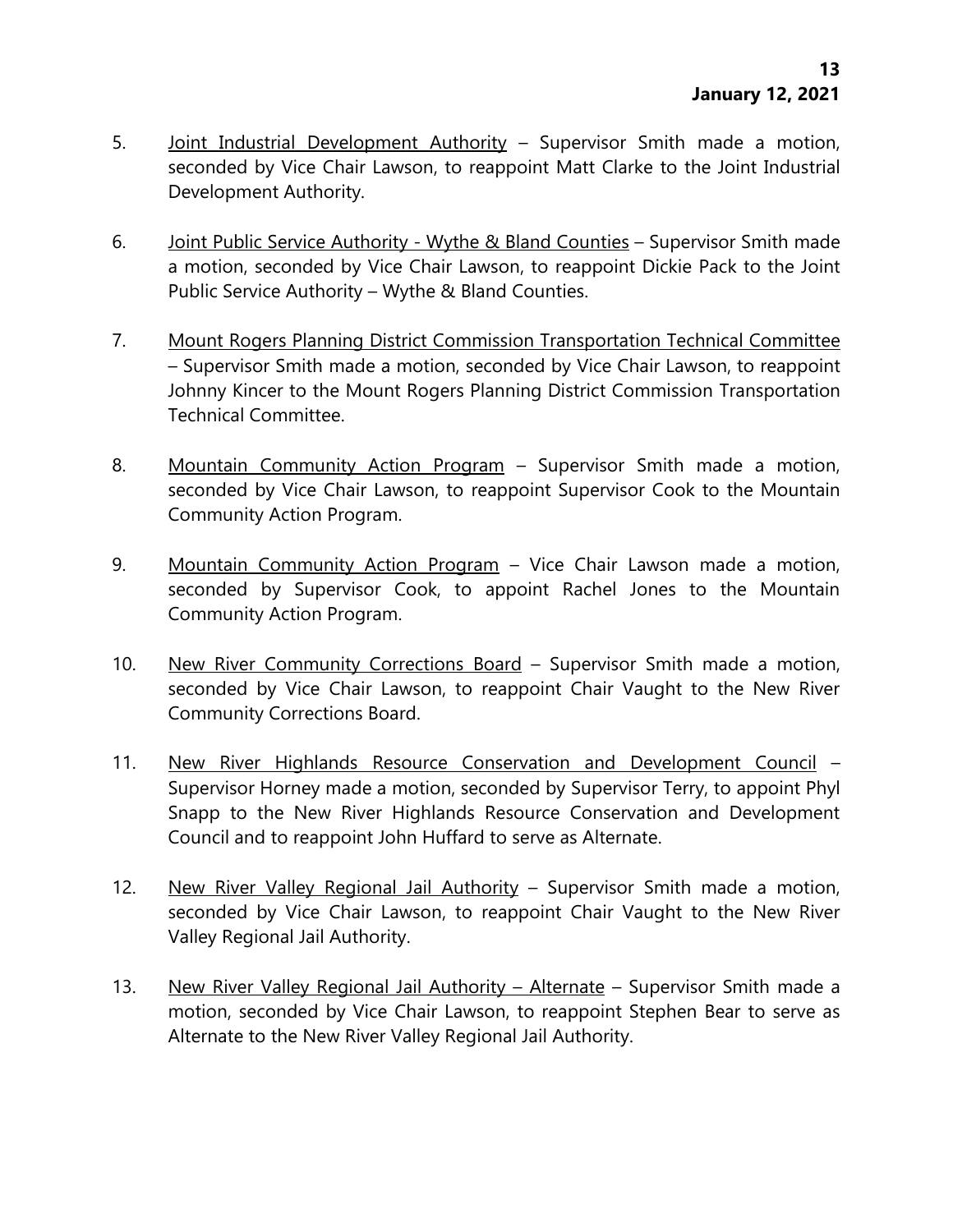- 5. Joint Industrial Development Authority Supervisor Smith made a motion, seconded by Vice Chair Lawson, to reappoint Matt Clarke to the Joint Industrial Development Authority.
- 6. Joint Public Service Authority Wythe & Bland Counties Supervisor Smith made a motion, seconded by Vice Chair Lawson, to reappoint Dickie Pack to the Joint Public Service Authority – Wythe & Bland Counties.
- 7. Mount Rogers Planning District Commission Transportation Technical Committee – Supervisor Smith made a motion, seconded by Vice Chair Lawson, to reappoint Johnny Kincer to the Mount Rogers Planning District Commission Transportation Technical Committee.
- 8. Mountain Community Action Program Supervisor Smith made a motion, seconded by Vice Chair Lawson, to reappoint Supervisor Cook to the Mountain Community Action Program.
- 9. Mountain Community Action Program Vice Chair Lawson made a motion, seconded by Supervisor Cook, to appoint Rachel Jones to the Mountain Community Action Program.
- 10. New River Community Corrections Board Supervisor Smith made a motion, seconded by Vice Chair Lawson, to reappoint Chair Vaught to the New River Community Corrections Board.
- 11. New River Highlands Resource Conservation and Development Council Supervisor Horney made a motion, seconded by Supervisor Terry, to appoint Phyl Snapp to the New River Highlands Resource Conservation and Development Council and to reappoint John Huffard to serve as Alternate.
- 12. New River Valley Regional Jail Authority Supervisor Smith made a motion, seconded by Vice Chair Lawson, to reappoint Chair Vaught to the New River Valley Regional Jail Authority.
- 13. New River Valley Regional Jail Authority Alternate Supervisor Smith made a motion, seconded by Vice Chair Lawson, to reappoint Stephen Bear to serve as Alternate to the New River Valley Regional Jail Authority.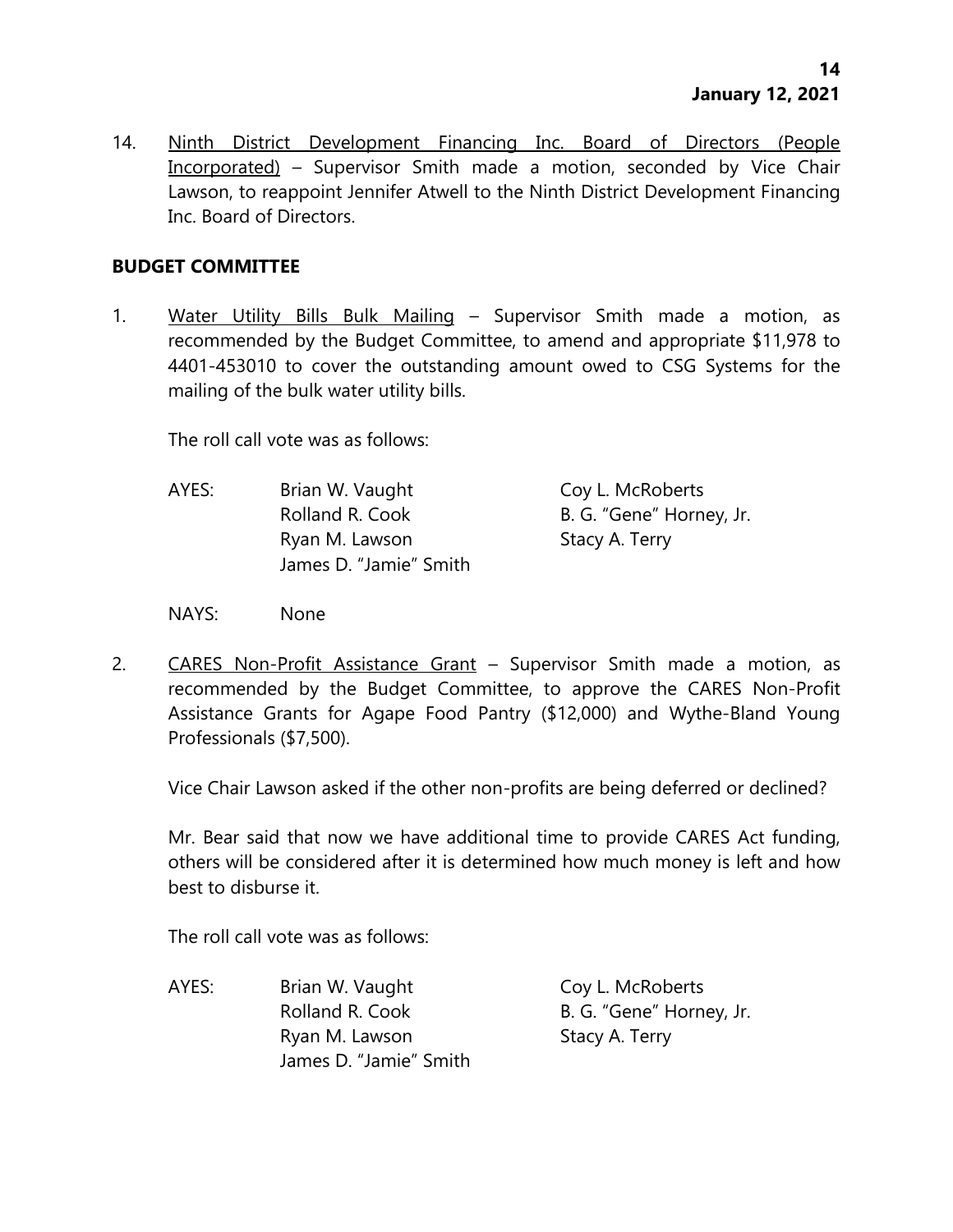14. Ninth District Development Financing Inc. Board of Directors (People Incorporated) – Supervisor Smith made a motion, seconded by Vice Chair Lawson, to reappoint Jennifer Atwell to the Ninth District Development Financing Inc. Board of Directors.

## **BUDGET COMMITTEE**

1. Water Utility Bills Bulk Mailing - Supervisor Smith made a motion, as recommended by the Budget Committee, to amend and appropriate \$11,978 to 4401-453010 to cover the outstanding amount owed to CSG Systems for the mailing of the bulk water utility bills.

The roll call vote was as follows:

- AYES: Brian W. Vaught Coy L. McRoberts Rolland R. Cook B. G. "Gene" Horney, Jr. Ryan M. Lawson Stacy A. Terry James D. "Jamie" Smith
- NAYS: None
- 2. CARES Non-Profit Assistance Grant Supervisor Smith made a motion, as recommended by the Budget Committee, to approve the CARES Non-Profit Assistance Grants for Agape Food Pantry (\$12,000) and Wythe-Bland Young Professionals (\$7,500).

Vice Chair Lawson asked if the other non-profits are being deferred or declined?

Mr. Bear said that now we have additional time to provide CARES Act funding, others will be considered after it is determined how much money is left and how best to disburse it.

The roll call vote was as follows:

AYES: Brian W. Vaught Coy L. McRoberts Rolland R. Cook B. G. "Gene" Horney, Jr. Ryan M. Lawson Stacy A. Terry James D. "Jamie" Smith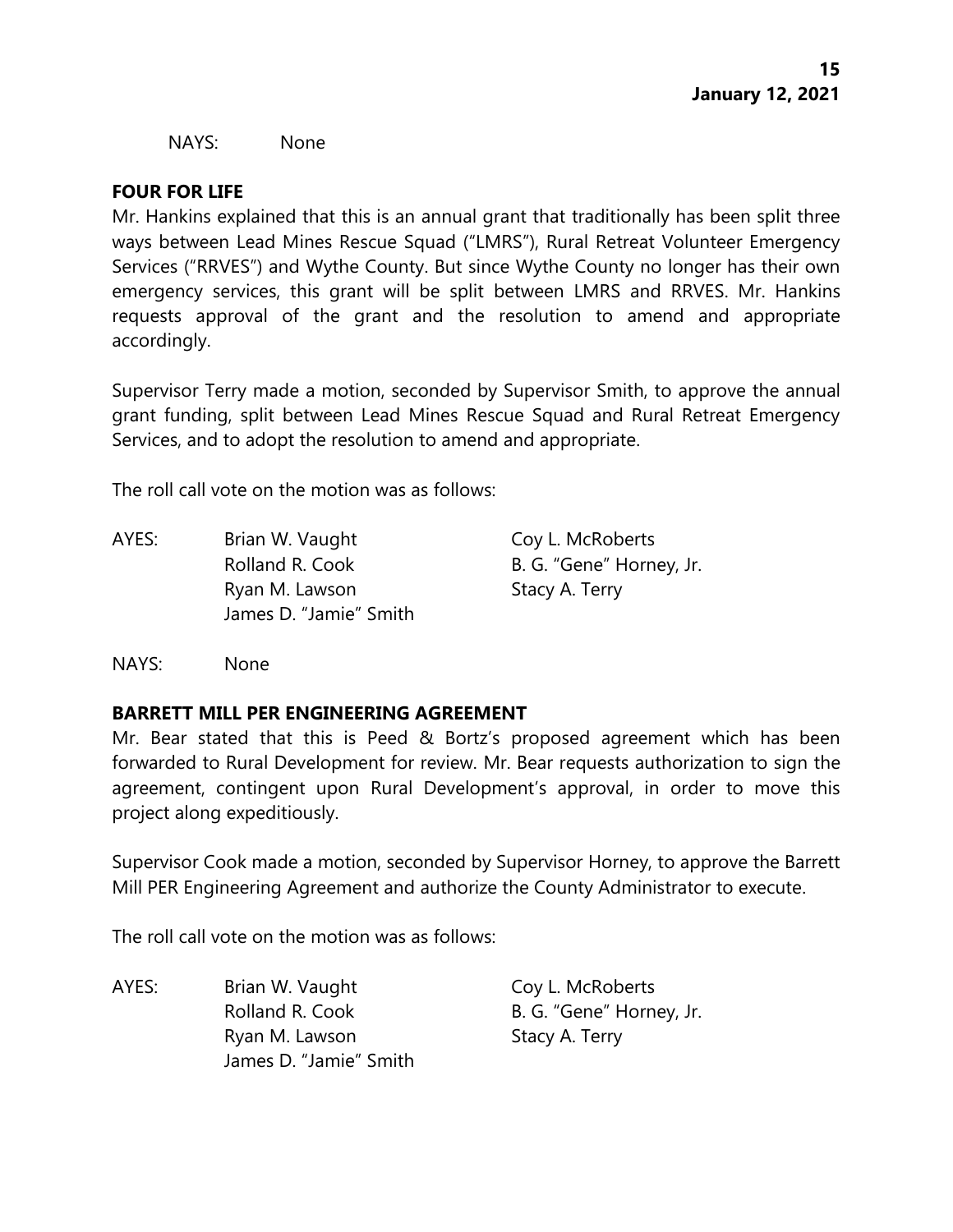NAYS: None

## **FOUR FOR LIFE**

Mr. Hankins explained that this is an annual grant that traditionally has been split three ways between Lead Mines Rescue Squad ("LMRS"), Rural Retreat Volunteer Emergency Services ("RRVES") and Wythe County. But since Wythe County no longer has their own emergency services, this grant will be split between LMRS and RRVES. Mr. Hankins requests approval of the grant and the resolution to amend and appropriate accordingly.

Supervisor Terry made a motion, seconded by Supervisor Smith, to approve the annual grant funding, split between Lead Mines Rescue Squad and Rural Retreat Emergency Services, and to adopt the resolution to amend and appropriate.

The roll call vote on the motion was as follows:

AYES: Brian W. Vaught Coy L. McRoberts Rolland R. Cook B. G. "Gene" Horney, Jr. Ryan M. Lawson Stacy A. Terry James D. "Jamie" Smith

NAYS: None

# **BARRETT MILL PER ENGINEERING AGREEMENT**

Mr. Bear stated that this is Peed & Bortz's proposed agreement which has been forwarded to Rural Development for review. Mr. Bear requests authorization to sign the agreement, contingent upon Rural Development's approval, in order to move this project along expeditiously.

Supervisor Cook made a motion, seconded by Supervisor Horney, to approve the Barrett Mill PER Engineering Agreement and authorize the County Administrator to execute.

The roll call vote on the motion was as follows:

AYES: Brian W. Vaught Coy L. McRoberts Rolland R. Cook B. G. "Gene" Horney, Jr. Ryan M. Lawson Stacy A. Terry James D. "Jamie" Smith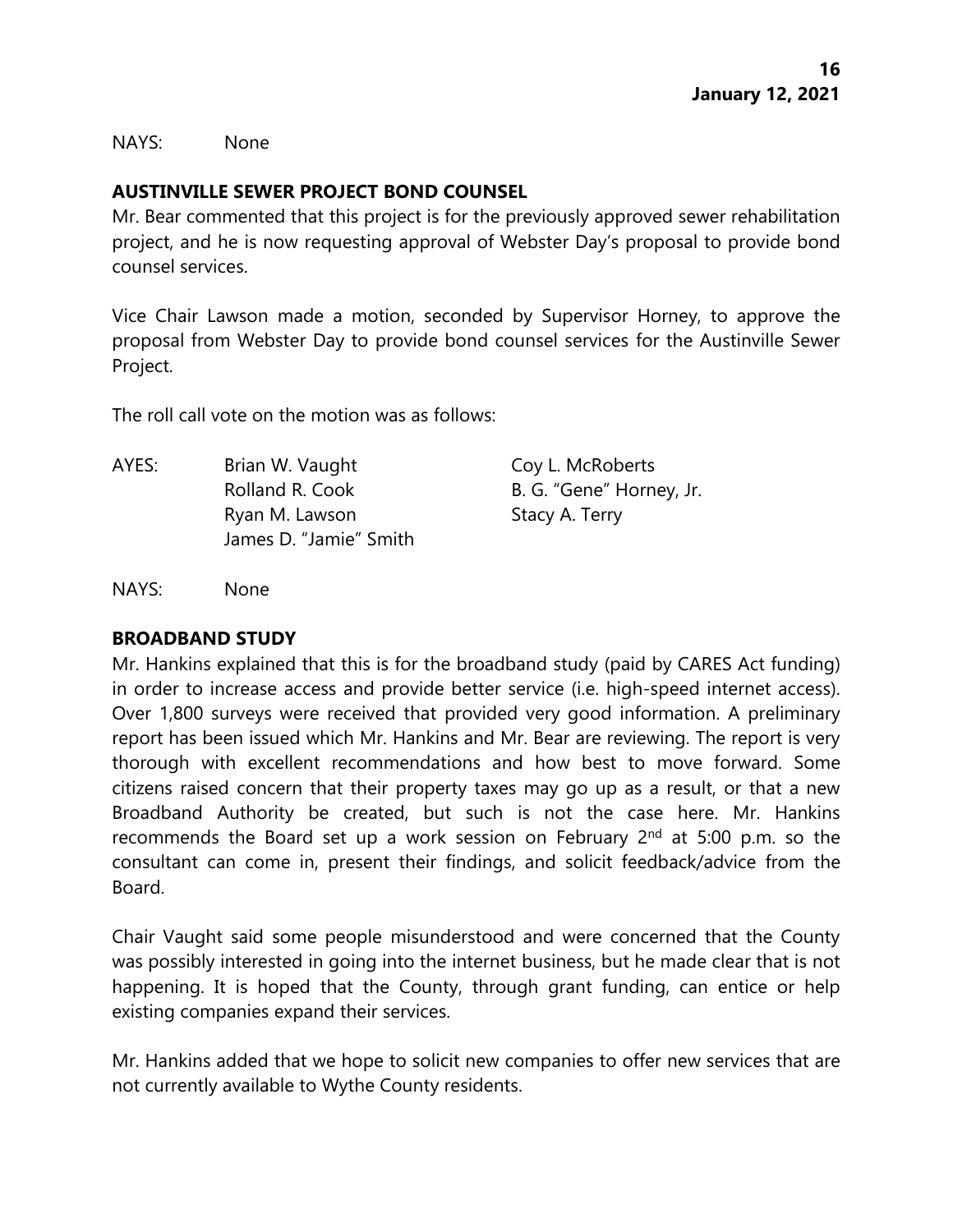NAYS: None

# **AUSTINVILLE SEWER PROJECT BOND COUNSEL**

Mr. Bear commented that this project is for the previously approved sewer rehabilitation project, and he is now requesting approval of Webster Day's proposal to provide bond counsel services.

Vice Chair Lawson made a motion, seconded by Supervisor Horney, to approve the proposal from Webster Day to provide bond counsel services for the Austinville Sewer Project.

The roll call vote on the motion was as follows:

AYES: Brian W. Vaught Coy L. McRoberts Rolland R. Cook B. G. "Gene" Horney, Jr. Ryan M. Lawson Stacy A. Terry James D. "Jamie" Smith

NAYS: None

#### **BROADBAND STUDY**

Mr. Hankins explained that this is for the broadband study (paid by CARES Act funding) in order to increase access and provide better service (i.e. high-speed internet access). Over 1,800 surveys were received that provided very good information. A preliminary report has been issued which Mr. Hankins and Mr. Bear are reviewing. The report is very thorough with excellent recommendations and how best to move forward. Some citizens raised concern that their property taxes may go up as a result, or that a new Broadband Authority be created, but such is not the case here. Mr. Hankins recommends the Board set up a work session on February  $2<sup>nd</sup>$  at 5:00 p.m. so the consultant can come in, present their findings, and solicit feedback/advice from the Board.

Chair Vaught said some people misunderstood and were concerned that the County was possibly interested in going into the internet business, but he made clear that is not happening. It is hoped that the County, through grant funding, can entice or help existing companies expand their services.

Mr. Hankins added that we hope to solicit new companies to offer new services that are not currently available to Wythe County residents.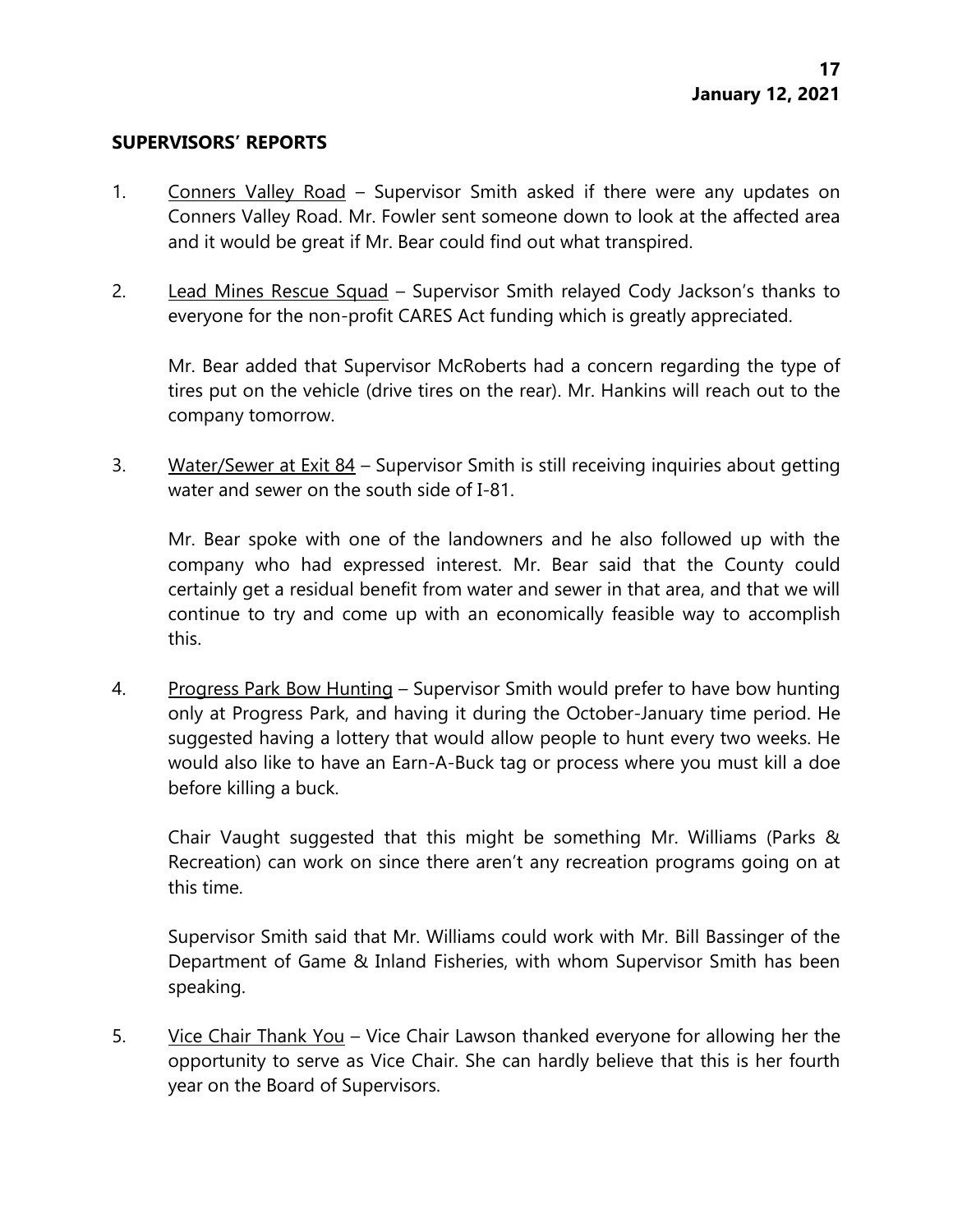#### **SUPERVISORS' REPORTS**

- 1. Conners Valley Road Supervisor Smith asked if there were any updates on Conners Valley Road. Mr. Fowler sent someone down to look at the affected area and it would be great if Mr. Bear could find out what transpired.
- 2. Lead Mines Rescue Squad Supervisor Smith relayed Cody Jackson's thanks to everyone for the non-profit CARES Act funding which is greatly appreciated.

Mr. Bear added that Supervisor McRoberts had a concern regarding the type of tires put on the vehicle (drive tires on the rear). Mr. Hankins will reach out to the company tomorrow.

3. Water/Sewer at Exit 84 – Supervisor Smith is still receiving inquiries about getting water and sewer on the south side of I-81.

Mr. Bear spoke with one of the landowners and he also followed up with the company who had expressed interest. Mr. Bear said that the County could certainly get a residual benefit from water and sewer in that area, and that we will continue to try and come up with an economically feasible way to accomplish this.

4. Progress Park Bow Hunting – Supervisor Smith would prefer to have bow hunting only at Progress Park, and having it during the October-January time period. He suggested having a lottery that would allow people to hunt every two weeks. He would also like to have an Earn-A-Buck tag or process where you must kill a doe before killing a buck.

Chair Vaught suggested that this might be something Mr. Williams (Parks & Recreation) can work on since there aren't any recreation programs going on at this time.

Supervisor Smith said that Mr. Williams could work with Mr. Bill Bassinger of the Department of Game & Inland Fisheries, with whom Supervisor Smith has been speaking.

5. Vice Chair Thank You – Vice Chair Lawson thanked everyone for allowing her the opportunity to serve as Vice Chair. She can hardly believe that this is her fourth year on the Board of Supervisors.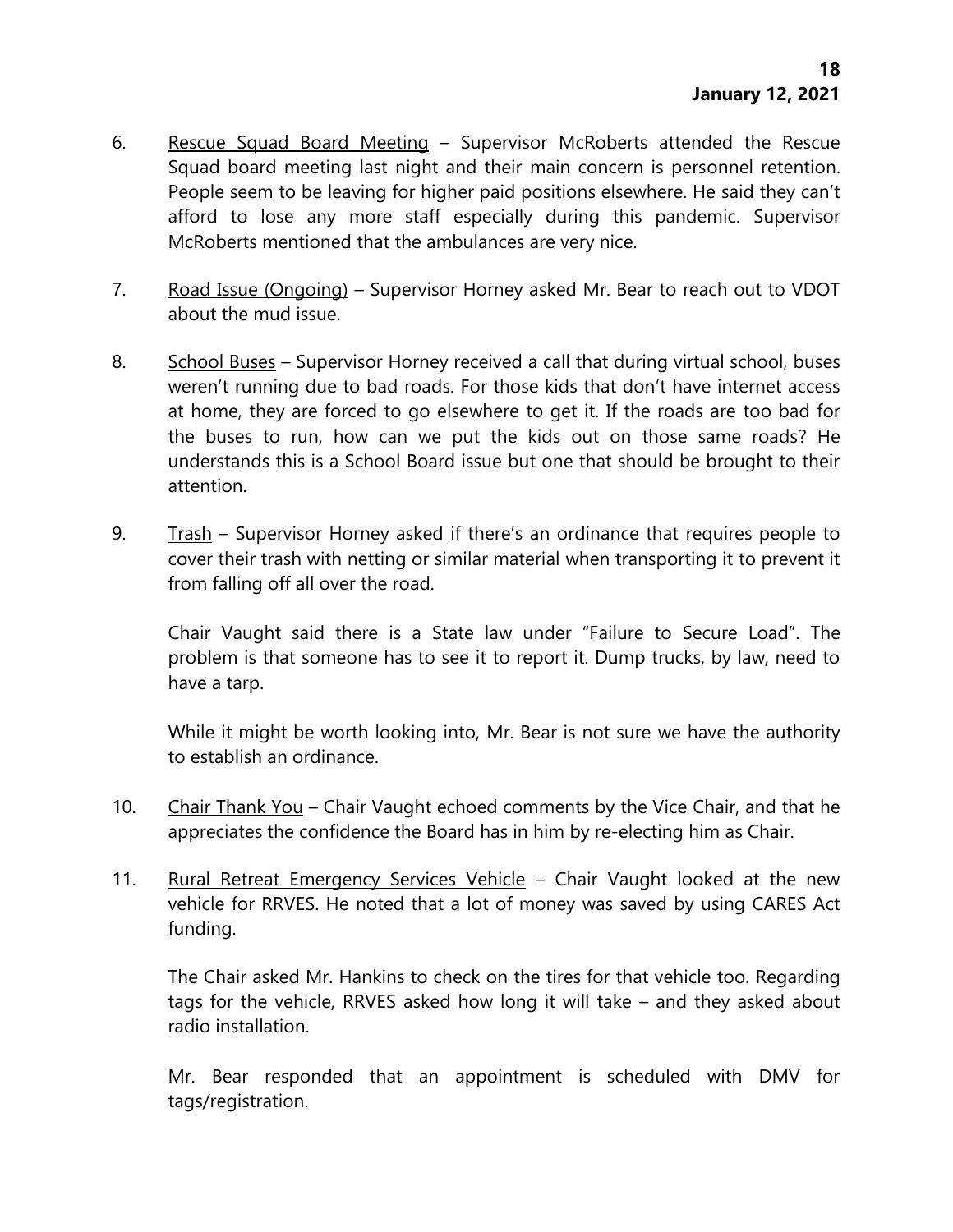- 6. Rescue Squad Board Meeting Supervisor McRoberts attended the Rescue Squad board meeting last night and their main concern is personnel retention. People seem to be leaving for higher paid positions elsewhere. He said they can't afford to lose any more staff especially during this pandemic. Supervisor McRoberts mentioned that the ambulances are very nice.
- 7. Road Issue (Ongoing) Supervisor Horney asked Mr. Bear to reach out to VDOT about the mud issue.
- 8. School Buses Supervisor Horney received a call that during virtual school, buses weren't running due to bad roads. For those kids that don't have internet access at home, they are forced to go elsewhere to get it. If the roads are too bad for the buses to run, how can we put the kids out on those same roads? He understands this is a School Board issue but one that should be brought to their attention.
- 9. Trash Supervisor Horney asked if there's an ordinance that requires people to cover their trash with netting or similar material when transporting it to prevent it from falling off all over the road.

Chair Vaught said there is a State law under "Failure to Secure Load". The problem is that someone has to see it to report it. Dump trucks, by law, need to have a tarp.

While it might be worth looking into, Mr. Bear is not sure we have the authority to establish an ordinance.

- 10. Chair Thank You Chair Vaught echoed comments by the Vice Chair, and that he appreciates the confidence the Board has in him by re-electing him as Chair.
- 11. Rural Retreat Emergency Services Vehicle Chair Vaught looked at the new vehicle for RRVES. He noted that a lot of money was saved by using CARES Act funding.

The Chair asked Mr. Hankins to check on the tires for that vehicle too. Regarding tags for the vehicle, RRVES asked how long it will take – and they asked about radio installation.

Mr. Bear responded that an appointment is scheduled with DMV for tags/registration.